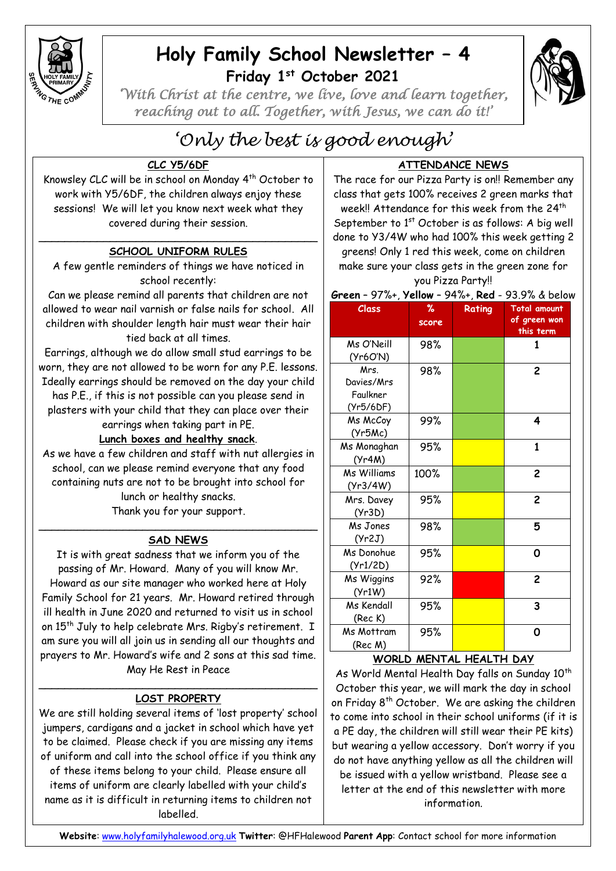

## **Holy Family School Newsletter – 4 Friday 1 st October 2021**



*'With Christ at the centre, we live, love and learn together, reaching out to all. Together, with Jesus, we can do it!'* 

# *'Only the best is good enough'*

## **CLC Y5/6DF**

Knowsley CLC will be in school on Monday 4th October to work with Y5/6DF, the children always enjoy these sessions! We will let you know next week what they covered during their session.

#### \_\_\_\_\_\_\_\_\_\_\_\_\_\_\_\_\_\_\_\_\_\_\_\_\_\_\_\_\_\_\_\_\_\_\_\_\_\_\_\_\_\_\_ **SCHOOL UNIFORM RULES**

A few gentle reminders of things we have noticed in school recently:

Can we please remind all parents that children are not allowed to wear nail varnish or false nails for school. All children with shoulder length hair must wear their hair tied back at all times.

Earrings, although we do allow small stud earrings to be worn, they are not allowed to be worn for any P.E. lessons.

Ideally earrings should be removed on the day your child has P.E., if this is not possible can you please send in plasters with your child that they can place over their

earrings when taking part in PE.

## **Lunch boxes and healthy snack**.

As we have a few children and staff with nut allergies in school, can we please remind everyone that any food containing nuts are not to be brought into school for lunch or healthy snacks.

Thank you for your support.

#### $\mathcal{L}_\text{max}$  , which is a set of the set of the set of the set of the set of the set of the set of the set of the set of the set of the set of the set of the set of the set of the set of the set of the set of the set of **SAD NEWS**

It is with great sadness that we inform you of the passing of Mr. Howard. Many of you will know Mr. Howard as our site manager who worked here at Holy Family School for 21 years. Mr. Howard retired through ill health in June 2020 and returned to visit us in school on 15<sup>th</sup> July to help celebrate Mrs. Rigby's retirement. I am sure you will all join us in sending all our thoughts and prayers to Mr. Howard's wife and 2 sons at this sad time. May He Rest in Peace

#### \_\_\_\_\_\_\_\_\_\_\_\_\_\_\_\_\_\_\_\_\_\_\_\_\_\_\_\_\_\_\_\_\_\_\_\_\_\_\_\_\_\_\_ **LOST PROPERTY**

We are still holding several items of 'lost property' school jumpers, cardigans and a jacket in school which have yet to be claimed. Please check if you are missing any items of uniform and call into the school office if you think any of these items belong to your child. Please ensure all items of uniform are clearly labelled with your child's name as it is difficult in returning items to children not labelled.

## **ATTENDANCE NEWS**

The race for our Pizza Party is on!! Remember any class that gets 100% receives 2 green marks that week!! Attendance for this week from the 24 $^{\rm th}$ September to 1<sup>st</sup> October is as follows: A bia well done to Y3/4W who had 100% this week getting 2 greens! Only 1 red this week, come on children make sure your class gets in the green zone for you Pizza Party!!

|  | Green - 97%+, Yellow - 94%+, Red - 93.9% & below |  |  |
|--|--------------------------------------------------|--|--|
|--|--------------------------------------------------|--|--|

| <b>Class</b>                                | %<br>score | Rating | <b>Total amount</b><br>of green won<br>this term |
|---------------------------------------------|------------|--------|--------------------------------------------------|
| Ms O'Neill<br>(Yr6O'N)                      | 98%        |        | 1                                                |
| Mrs.<br>Davies/Mrs<br>Faulkner<br>(Yr5/6DF) | 98%        |        | $\overline{c}$                                   |
| Ms McCoy<br>(Yr5Mc)                         | 99%        |        | 4                                                |
| Ms Monaghan<br>(Yr4M)                       | 95%        |        | $\mathbf{1}$                                     |
| Ms Williams<br>(Yr3/4W)                     | 100%       |        | $\overline{c}$                                   |
| Mrs. Davey<br>(Yr3D)                        | 95%        |        | $\overline{c}$                                   |
| Ms Jones<br>(Yr2J)                          | 98%        |        | 5                                                |
| Ms Donohue<br>(Yr1/2D)                      | 95%        |        | 0                                                |
| Ms Wiggins<br>(Yr1W)                        | 92%        |        | $\overline{c}$                                   |
| Ms Kendall<br>(Rec K)                       | 95%        |        | 3                                                |
| Ms Mottram<br>(Rec M)                       | 95%        |        | 0                                                |

## **WORLD MENTAL HEALTH DAY**

As World Mental Health Day falls on Sunday 10<sup>th</sup> October this year, we will mark the day in school on Friday 8<sup>th</sup> October. We are asking the children to come into school in their school uniforms (if it is a PE day, the children will still wear their PE kits) but wearing a yellow accessory. Don't worry if you do not have anything yellow as all the children will be issued with a yellow wristband. Please see a letter at the end of this newsletter with more information.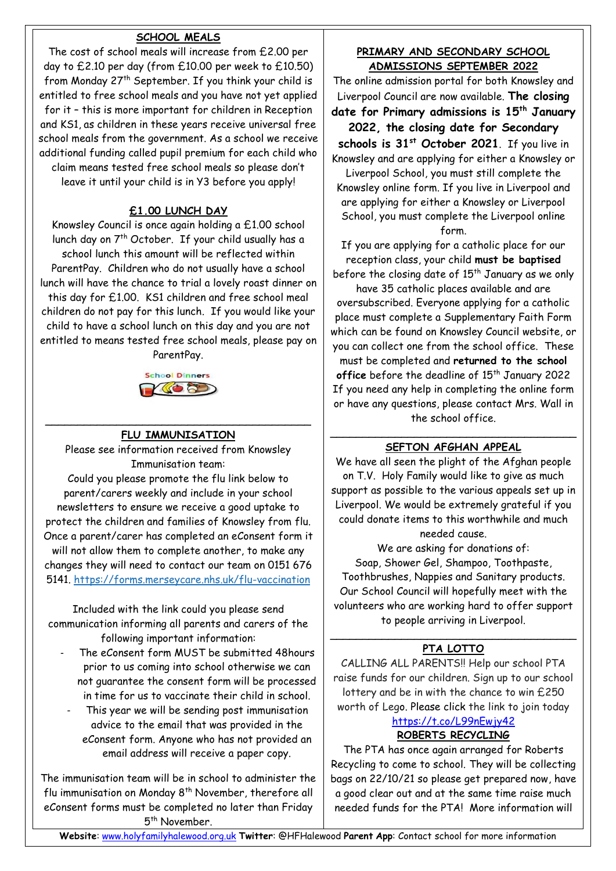## **SCHOOL MEALS**

The cost of school meals will increase from £2.00 per day to £2.10 per day (from £10.00 per week to £10.50) from Monday 27th September. If you think your child is entitled to free school meals and you have not yet applied for it – this is more important for children in Reception and KS1, as children in these years receive universal free school meals from the government. As a school we receive additional funding called pupil premium for each child who claim means tested free school meals so please don't leave it until your child is in Y3 before you apply!

## **£1.00 LUNCH DAY**

Knowsley Council is once again holding a £1.00 school lunch day on 7<sup>th</sup> October. If your child usually has a school lunch this amount will be reflected within ParentPay. Children who do not usually have a school lunch will have the chance to trial a lovely roast dinner on this day for £1.00. KS1 children and free school meal children do not pay for this lunch. If you would like your child to have a school lunch on this day and you are not entitled to means tested free school meals, please pay on ParentPay.



#### \_\_\_\_\_\_\_\_\_\_\_\_\_\_\_\_\_\_\_\_\_\_\_\_\_\_\_\_\_\_\_\_\_\_\_\_\_\_\_\_\_ **FLU IMMUNISATION**

Please see information received from Knowsley Immunisation team: Could you please promote the flu link below to parent/carers weekly and include in your school newsletters to ensure we receive a good uptake to protect the children and families of Knowsley from flu. Once a parent/carer has completed an eConsent form it will not allow them to complete another, to make any changes they will need to contact our team on 0151 676 5141.<https://forms.merseycare.nhs.uk/flu-vaccination>

Included with the link could you please send communication informing all parents and carers of the following important information:

- The eConsent form MUST be submitted 48hours prior to us coming into school otherwise we can not guarantee the consent form will be processed in time for us to vaccinate their child in school.
	- This year we will be sending post immunisation advice to the email that was provided in the eConsent form. Anyone who has not provided an email address will receive a paper copy.

The immunisation team will be in school to administer the flu immunisation on Monday 8<sup>th</sup> November, therefore all eConsent forms must be completed no later than Friday 5<sup>th</sup> November.

### **PRIMARY AND SECONDARY SCHOOL ADMISSIONS SEPTEMBER 2022**

The online admission portal for both Knowsley and Liverpool Council are now available. **The closing date for Primary admissions is 15th January 2022, the closing date for Secondary schools is 31st October 2021**. If you live in Knowsley and are applying for either a Knowsley or Liverpool School, you must still complete the Knowsley online form. If you live in Liverpool and are applying for either a Knowsley or Liverpool School, you must complete the Liverpool online form.

If you are applying for a catholic place for our reception class, your child **must be baptised** before the closing date of  $15<sup>th</sup>$  January as we only

have 35 catholic places available and are oversubscribed. Everyone applying for a catholic place must complete a Supplementary Faith Form which can be found on Knowsley Council website, or you can collect one from the school office. These

must be completed and **returned to the school**  office before the deadline of 15<sup>th</sup> January 2022 If you need any help in completing the online form or have any questions, please contact Mrs. Wall in the school office.

#### \_\_\_\_\_\_\_\_\_\_\_\_\_\_\_\_\_\_\_\_\_\_\_\_\_\_\_\_\_\_\_\_\_\_\_\_\_\_ **SEFTON AFGHAN APPEAL**

We have all seen the plight of the Afghan people on T.V. Holy Family would like to give as much support as possible to the various appeals set up in Liverpool. We would be extremely grateful if you could donate items to this worthwhile and much needed cause.

We are asking for donations of: Soap, Shower Gel, Shampoo, Toothpaste, Toothbrushes, Nappies and Sanitary products. Our School Council will hopefully meet with the volunteers who are working hard to offer support to people arriving in Liverpool.

#### \_\_\_\_\_\_\_\_\_\_\_\_\_\_\_\_\_\_\_\_\_\_\_\_\_\_\_\_\_\_\_\_\_\_\_\_\_\_ **PTA LOTTO**

CALLING ALL PARENTS!! Help our school PTA raise funds for our children. Sign up to our school lottery and be in with the chance to win £250 worth of Lego. Please click the link to join today <https://t.co/L99nEwjy42>

## **ROBERTS RECYCLING**

The PTA has once again arranged for Roberts Recycling to come to school. They will be collecting bags on 22/10/21 so please get prepared now, have a good clear out and at the same time raise much needed funds for the PTA! More information will

**Website**: [www.holyfamilyhalewood.org.uk](http://www.holyfamilyhalewood.org.uk/) **Twitter**: @HFHalewood **Parent App**: Contact school for more information